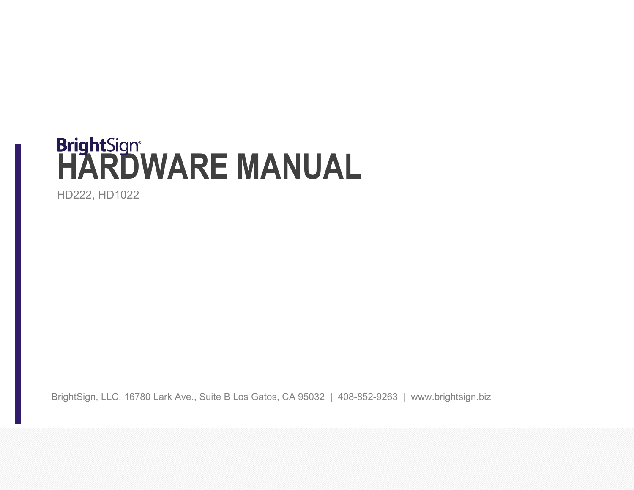# **BrightSign<sup>®</sup><br>HARDWARE MANUAL**

HD222, HD1022

BrightSign, LLC. 16780 Lark Ave., Suite B Los Gatos, CA 95032 | 408-852-9263 | www.brightsign.biz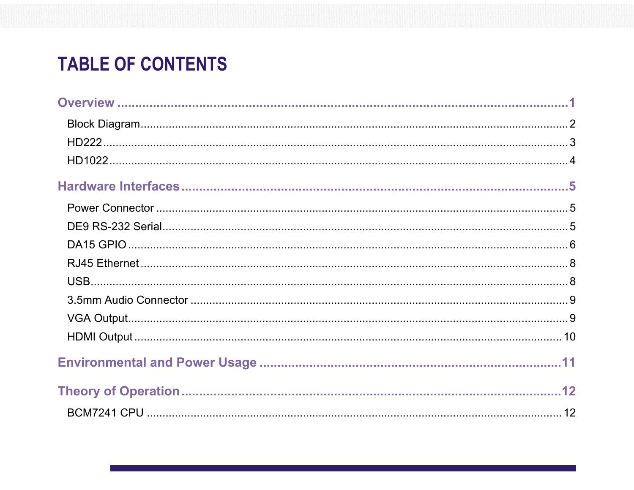# **TABLE OF CONTENTS**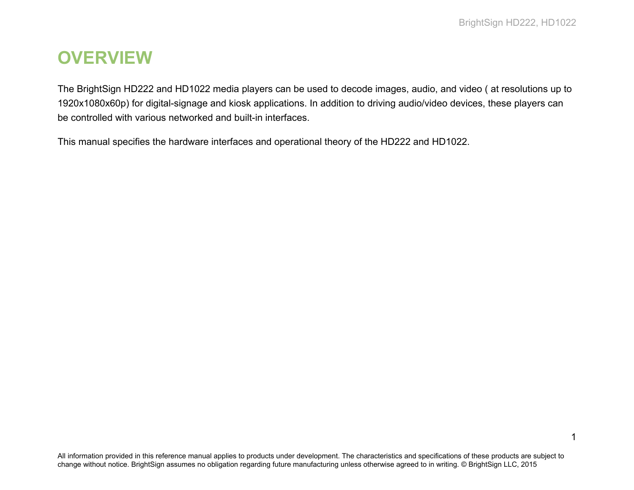1

# <span id="page-3-0"></span>**OVERVIEW**

The BrightSign HD222 and HD1022 media players can be used to decode images, audio, and video ( at resolutions up to 1920x1080x60p) for digital-signage and kiosk applications. In addition to driving audio/video devices, these players can be controlled with various networked and built-in interfaces.

This manual specifies the hardware interfaces and operational theory of the HD222 and HD1022.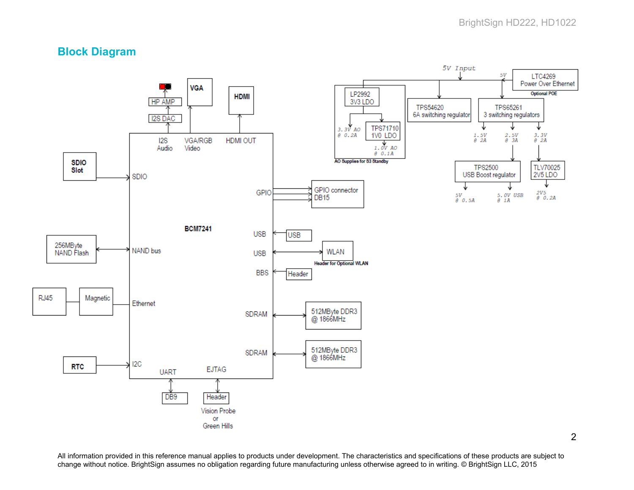# <span id="page-4-0"></span>**Block Diagram**

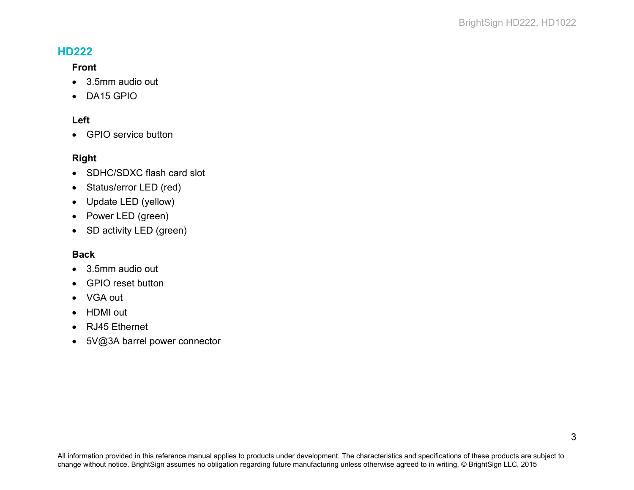# <span id="page-5-0"></span>**HD222**

#### **Front**

- 3.5mm audio out
- DA15 GPIO

#### **Left**

• GPIO service button

#### **Right**

- SDHC/SDXC flash card slot
- Status/error LED (red)
- Update LED (yellow)
- Power LED (green)
- SD activity LED (green)

#### **Back**

- 3.5mm audio out
- GPIO reset button
- VGA out
- HDMI out
- RJ45 Ethernet
- 5V@3A barrel power connector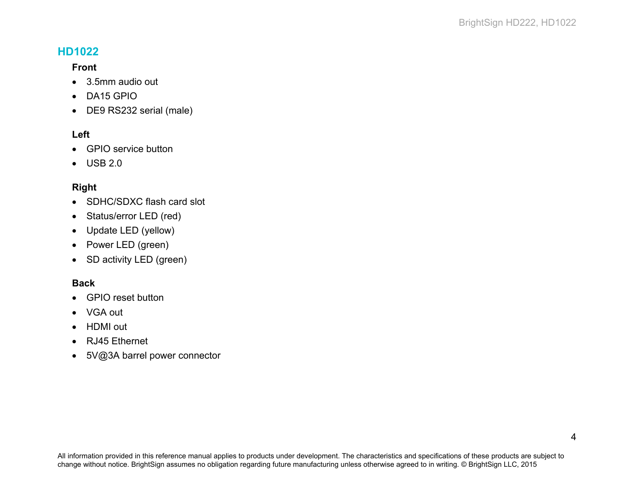# <span id="page-6-0"></span>**HD1022**

#### **Front**

- 3.5mm audio out
- DA15 GPIO
- DE9 RS232 serial (male)

#### **Left**

- GPIO service button
- USB 2.0

#### **Right**

- SDHC/SDXC flash card slot
- Status/error LED (red)
- Update LED (yellow)
- Power LED (green)
- SD activity LED (green)

#### **Back**

- GPIO reset button
- VGA out
- HDMI out
- RJ45 Ethernet
- 5V@3A barrel power connector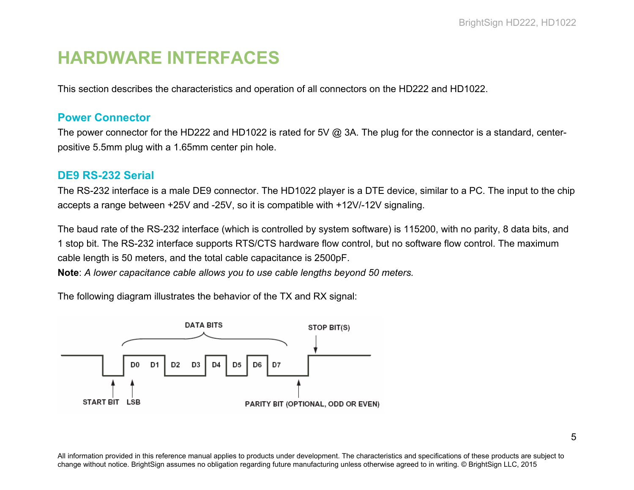# <span id="page-7-0"></span>**HARDWARE INTERFACES**

This section describes the characteristics and operation of all connectors on the HD222 and HD1022.

#### <span id="page-7-1"></span>**Power Connector**

The power connector for the HD222 and HD1022 is rated for 5V @ 3A. The plug for the connector is a standard, centerpositive 5.5mm plug with a 1.65mm center pin hole.

## <span id="page-7-2"></span>**DE9 RS-232 Serial**

The RS-232 interface is a male DE9 connector. The HD1022 player is a DTE device, similar to a PC. The input to the chip accepts a range between +25V and -25V, so it is compatible with +12V/-12V signaling.

The baud rate of the RS-232 interface (which is controlled by system software) is 115200, with no parity, 8 data bits, and 1 stop bit. The RS-232 interface supports RTS/CTS hardware flow control, but no software flow control. The maximum cable length is 50 meters, and the total cable capacitance is 2500pF.

**Note**: *A lower capacitance cable allows you to use cable lengths beyond 50 meters.*

The following diagram illustrates the behavior of the TX and RX signal:

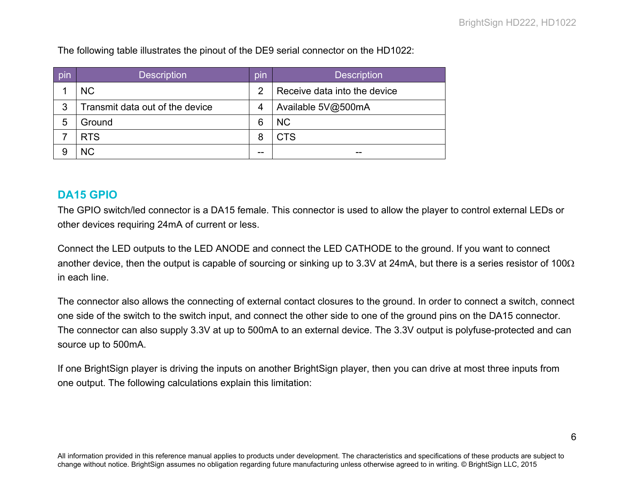The following table illustrates the pinout of the DE9 serial connector on the HD1022:

| pin | <b>Description</b>              | pın | <b>Description</b>           |
|-----|---------------------------------|-----|------------------------------|
|     | <b>NC</b>                       | 2   | Receive data into the device |
| 3   | Transmit data out of the device | 4   | Available 5V@500mA           |
| 5   | Ground                          | 6   | <b>NC</b>                    |
|     | <b>RTS</b>                      | 8   | <b>CTS</b>                   |
| 9   | <b>NC</b>                       | --  | --                           |

#### <span id="page-8-0"></span>**DA15 GPIO**

The GPIO switch/led connector is a DA15 female. This connector is used to allow the player to control external LEDs or other devices requiring 24mA of current or less.

Connect the LED outputs to the LED ANODE and connect the LED CATHODE to the ground. If you want to connect another device, then the output is capable of sourcing or sinking up to 3.3V at 24mA, but there is a series resistor of 100 $\Omega$ in each line.

The connector also allows the connecting of external contact closures to the ground. In order to connect a switch, connect one side of the switch to the switch input, and connect the other side to one of the ground pins on the DA15 connector. The connector can also supply 3.3V at up to 500mA to an external device. The 3.3V output is polyfuse-protected and can source up to 500mA.

If one BrightSign player is driving the inputs on another BrightSign player, then you can drive at most three inputs from one output. The following calculations explain this limitation: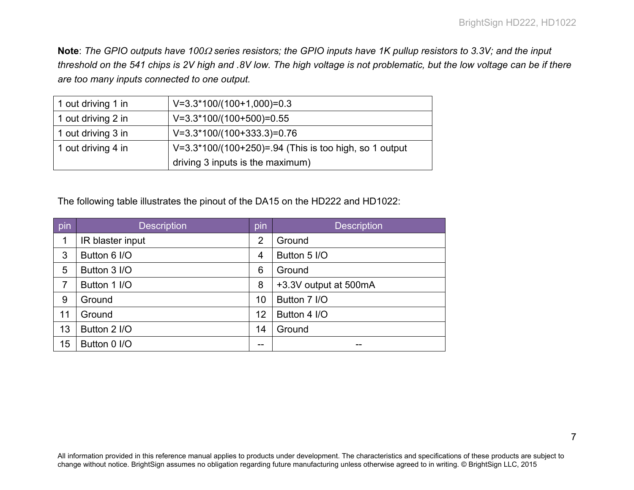**Note**: *The GPIO outputs have 100*<sup>Ω</sup> *series resistors; the GPIO inputs have 1K pullup resistors to 3.3V; and the input threshold on the 541 chips is 2V high and .8V low. The high voltage is not problematic, but the low voltage can be if there are too many inputs connected to one output.*

| 1 out driving 1 in | $V=3.3*100/(100+1,000)=0.3$                            |
|--------------------|--------------------------------------------------------|
| 1 out driving 2 in | $V=3.3*100/(100+500)=0.55$                             |
| 1 out driving 3 in | $V=3.3*100/(100+333.3)=0.76$                           |
| 1 out driving 4 in | V=3.3*100/(100+250)=.94 (This is too high, so 1 output |
|                    | driving 3 inputs is the maximum)                       |

The following table illustrates the pinout of the DA15 on the HD222 and HD1022:

| pin | <b>Description</b> | pin            | <b>Description</b>    |
|-----|--------------------|----------------|-----------------------|
| 1   | IR blaster input   | $\overline{2}$ | Ground                |
| 3   | Button 6 I/O       | $\overline{4}$ | Button 5 I/O          |
| 5   | Button 3 I/O       | 6              | Ground                |
| 7   | Button 1 I/O       | 8              | +3.3V output at 500mA |
| 9   | Ground             | 10             | Button 7 I/O          |
| 11  | Ground             | 12             | Button 4 I/O          |
| 13  | Button 2 I/O       | 14             | Ground                |
| 15  | Button 0 I/O       | --             |                       |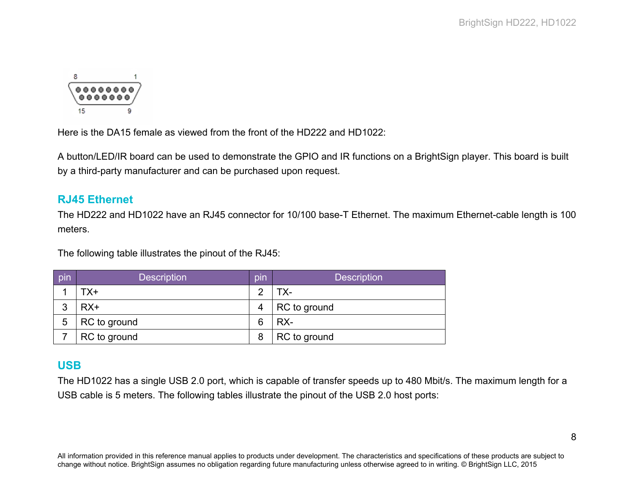

Here is the DA15 female as viewed from the front of the HD222 and HD1022:

A button/LED/IR board can be used to demonstrate the GPIO and IR functions on a BrightSign player. This board is built by a third-party manufacturer and can be purchased upon request.

## <span id="page-10-0"></span>**RJ45 Ethernet**

The HD222 and HD1022 have an RJ45 connector for 10/100 base-T Ethernet. The maximum Ethernet-cable length is 100 meters.

The following table illustrates the pinout of the RJ45:

| pin | <b>Description</b> | pin | <b>Description</b> |
|-----|--------------------|-----|--------------------|
|     | TX+                | റ   | ГX-                |
| 3   | $RX+$              | 4   | RC to ground       |
| 5   | RC to ground       | 6   | RX-                |
|     | RC to ground       |     | RC to ground       |

# <span id="page-10-1"></span>**USB**

The HD1022 has a single USB 2.0 port, which is capable of transfer speeds up to 480 Mbit/s. The maximum length for a USB cable is 5 meters. The following tables illustrate the pinout of the USB 2.0 host ports: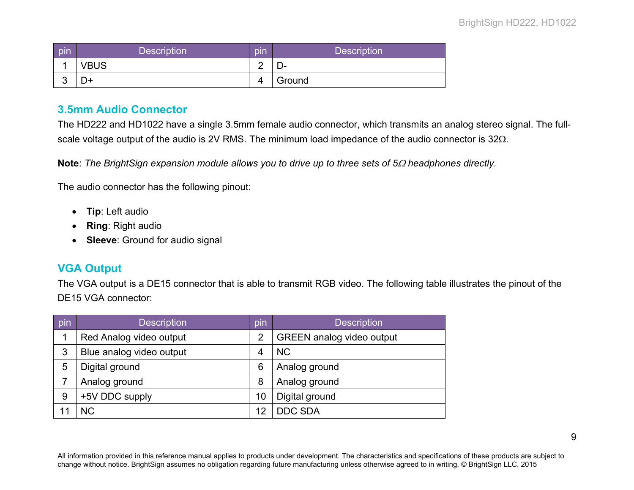| pin        | <b>Description</b> | pın    | <b>Description</b> |
|------------|--------------------|--------|--------------------|
|            | <b>VBUS</b>        | ◠<br>- | _ —                |
| $\sqrt{2}$ | D+                 | Δ      | Ground             |

## <span id="page-11-0"></span>**3.5mm Audio Connector**

The HD222 and HD1022 have a single 3.5mm female audio connector, which transmits an analog stereo signal. The fullscale voltage output of the audio is 2V RMS. The minimum load impedance of the audio connector is 32Ω.

**Note**: *The BrightSign expansion module allows you to drive up to three sets of 5*<sup>Ω</sup> *headphones directly.*

The audio connector has the following pinout:

- **Tip**: Left audio
- **Ring**: Right audio
- **Sleeve**: Ground for audio signal

## <span id="page-11-1"></span>**VGA Output**

The VGA output is a DE15 connector that is able to transmit RGB video. The following table illustrates the pinout of the DE15 VGA connector:

| pin | <b>Description</b>       | pin | <b>Description</b>               |
|-----|--------------------------|-----|----------------------------------|
|     | Red Analog video output  | 2   | <b>GREEN</b> analog video output |
| 3   | Blue analog video output | 4   | <b>NC</b>                        |
| 5   | Digital ground           | 6   | Analog ground                    |
|     | Analog ground            | 8   | Analog ground                    |
| 9   | +5V DDC supply           | 10  | Digital ground                   |
|     | <b>NC</b>                | 12  | <b>DDC SDA</b>                   |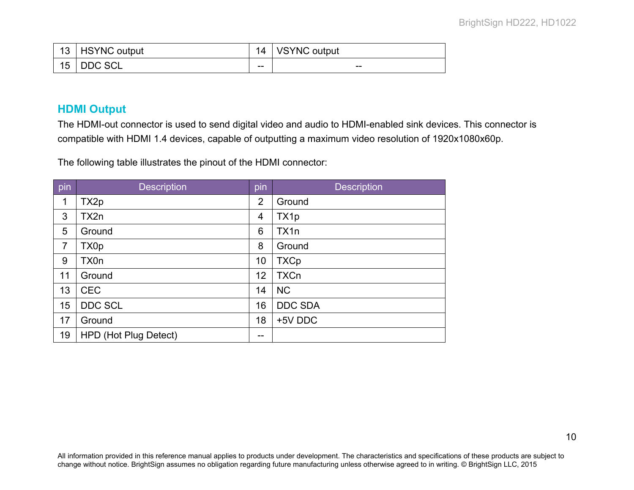| 13 | <b>HSYNC</b> output | 14 | <b>VSYNC output</b> |
|----|---------------------|----|---------------------|
| 15 | <b>DDC SCL</b>      | -- | $- -$               |

## <span id="page-12-0"></span>**HDMI Output**

The HDMI-out connector is used to send digital video and audio to HDMI-enabled sink devices. This connector is compatible with HDMI 1.4 devices, capable of outputting a maximum video resolution of 1920x1080x60p.

The following table illustrates the pinout of the HDMI connector:

| pin            | <b>Description</b>    | pin            | <b>Description</b> |
|----------------|-----------------------|----------------|--------------------|
| 1              | TX2p                  | $\overline{2}$ | Ground             |
| 3              | TX2n                  | 4              | TX1p               |
| 5              | Ground                | 6              | TX <sub>1</sub> n  |
| $\overline{7}$ | TX0p                  | 8              | Ground             |
| 9              | TX0n                  | 10             | <b>TXCp</b>        |
| 11             | Ground                | 12             | <b>TXCn</b>        |
| 13             | <b>CEC</b>            | 14             | <b>NC</b>          |
| 15             | <b>DDC SCL</b>        | 16             | <b>DDC SDA</b>     |
| 17             | Ground                | 18             | +5V DDC            |
| 19             | HPD (Hot Plug Detect) | --             |                    |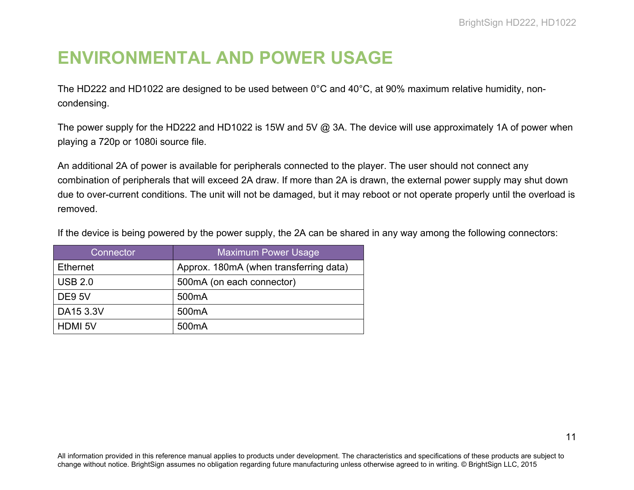# <span id="page-13-0"></span>**ENVIRONMENTAL AND POWER USAGE**

The HD222 and HD1022 are designed to be used between 0°C and 40°C, at 90% maximum relative humidity, noncondensing.

The power supply for the HD222 and HD1022 is 15W and 5V @ 3A. The device will use approximately 1A of power when playing a 720p or 1080i source file.

An additional 2A of power is available for peripherals connected to the player. The user should not connect any combination of peripherals that will exceed 2A draw. If more than 2A is drawn, the external power supply may shut down due to over-current conditions. The unit will not be damaged, but it may reboot or not operate properly until the overload is removed.

| If the device is being powered by the power supply, the 2A can be shared in any way among the following connectors: |  |  |
|---------------------------------------------------------------------------------------------------------------------|--|--|
|---------------------------------------------------------------------------------------------------------------------|--|--|

| Connector <sup>'</sup> | <b>Maximum Power Usage</b>             |
|------------------------|----------------------------------------|
| <b>Ethernet</b>        | Approx. 180mA (when transferring data) |
| <b>USB 2.0</b>         | 500mA (on each connector)              |
| <b>DE9 5V</b>          | 500 <sub>m</sub> A                     |
| DA15 3.3V              | 500 <sub>m</sub> A                     |
| <b>HDMI 5V</b>         | 500 <sub>m</sub> A                     |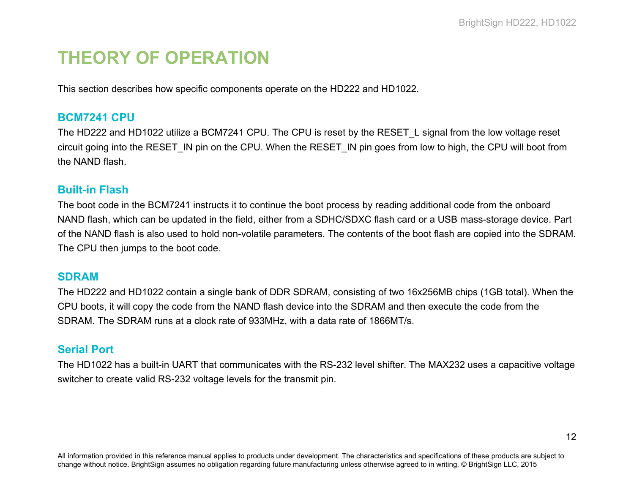# <span id="page-14-0"></span>**THEORY OF OPERATION**

This section describes how specific components operate on the HD222 and HD1022.

#### <span id="page-14-1"></span>**BCM7241 CPU**

The HD222 and HD1022 utilize a BCM7241 CPU. The CPU is reset by the RESET\_L signal from the low voltage reset circuit going into the RESET\_IN pin on the CPU. When the RESET\_IN pin goes from low to high, the CPU will boot from the NAND flash.

#### <span id="page-14-2"></span>**Built-in Flash**

The boot code in the BCM7241 instructs it to continue the boot process by reading additional code from the onboard NAND flash, which can be updated in the field, either from a SDHC/SDXC flash card or a USB mass-storage device. Part of the NAND flash is also used to hold non-volatile parameters. The contents of the boot flash are copied into the SDRAM. The CPU then jumps to the boot code.

#### <span id="page-14-3"></span>**SDRAM**

The HD222 and HD1022 contain a single bank of DDR SDRAM, consisting of two 16x256MB chips (1GB total). When the CPU boots, it will copy the code from the NAND flash device into the SDRAM and then execute the code from the SDRAM. The SDRAM runs at a clock rate of 933MHz, with a data rate of 1866MT/s.

## <span id="page-14-4"></span>**Serial Port**

The HD1022 has a built-in UART that communicates with the RS-232 level shifter. The MAX232 uses a capacitive voltage switcher to create valid RS-232 voltage levels for the transmit pin.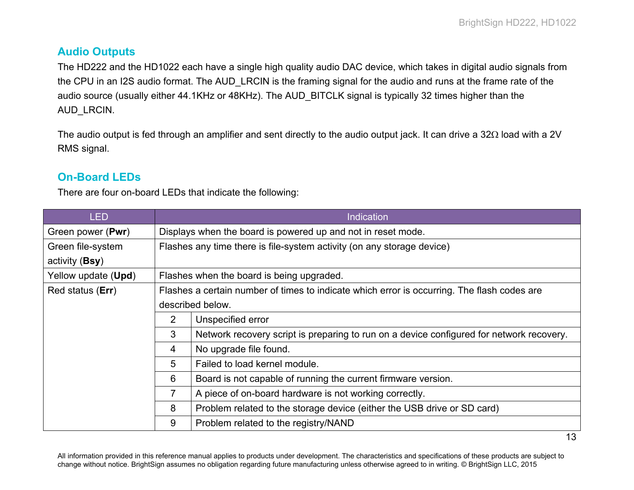# <span id="page-15-0"></span>**Audio Outputs**

The HD222 and the HD1022 each have a single high quality audio DAC device, which takes in digital audio signals from the CPU in an I2S audio format. The AUD LRCIN is the framing signal for the audio and runs at the frame rate of the audio source (usually either 44.1KHz or 48KHz). The AUD BITCLK signal is typically 32 times higher than the AUD\_LRCIN.

The audio output is fed through an amplifier and sent directly to the audio output jack. It can drive a 32Ω load with a 2V RMS signal.

# <span id="page-15-1"></span>**On-Board LEDs**

There are four on-board LEDs that indicate the following:

| LED                 | <b>Indication</b>                                                                           |                                                                                          |  |
|---------------------|---------------------------------------------------------------------------------------------|------------------------------------------------------------------------------------------|--|
| Green power (Pwr)   | Displays when the board is powered up and not in reset mode.                                |                                                                                          |  |
| Green file-system   | Flashes any time there is file-system activity (on any storage device)                      |                                                                                          |  |
| activity (Bsy)      |                                                                                             |                                                                                          |  |
| Yellow update (Upd) | Flashes when the board is being upgraded.                                                   |                                                                                          |  |
| Red status (Err)    | Flashes a certain number of times to indicate which error is occurring. The flash codes are |                                                                                          |  |
|                     | described below.                                                                            |                                                                                          |  |
|                     | $\overline{2}$                                                                              | Unspecified error                                                                        |  |
|                     | 3                                                                                           | Network recovery script is preparing to run on a device configured for network recovery. |  |
|                     | 4                                                                                           | No upgrade file found.                                                                   |  |
|                     | 5                                                                                           | Failed to load kernel module.                                                            |  |
|                     | 6                                                                                           | Board is not capable of running the current firmware version.                            |  |
|                     | 7                                                                                           | A piece of on-board hardware is not working correctly.                                   |  |
|                     | 8                                                                                           | Problem related to the storage device (either the USB drive or SD card)                  |  |
|                     | 9                                                                                           | Problem related to the registry/NAND                                                     |  |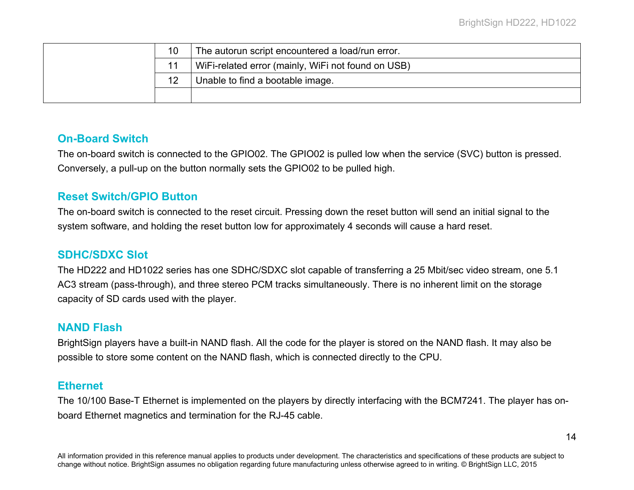|  | 10 | The autorun script encountered a load/run error.   |
|--|----|----------------------------------------------------|
|  |    | WiFi-related error (mainly, WiFi not found on USB) |
|  | 12 | Unable to find a bootable image.                   |
|  |    |                                                    |

## <span id="page-16-0"></span>**On-Board Switch**

The on-board switch is connected to the GPIO02. The GPIO02 is pulled low when the service (SVC) button is pressed. Conversely, a pull-up on the button normally sets the GPIO02 to be pulled high.

## <span id="page-16-1"></span>**Reset Switch/GPIO Button**

The on-board switch is connected to the reset circuit. Pressing down the reset button will send an initial signal to the system software, and holding the reset button low for approximately 4 seconds will cause a hard reset.

## <span id="page-16-2"></span>**SDHC/SDXC Slot**

The HD222 and HD1022 series has one SDHC/SDXC slot capable of transferring a 25 Mbit/sec video stream, one 5.1 AC3 stream (pass-through), and three stereo PCM tracks simultaneously. There is no inherent limit on the storage capacity of SD cards used with the player.

## <span id="page-16-3"></span>**NAND Flash**

BrightSign players have a built-in NAND flash. All the code for the player is stored on the NAND flash. It may also be possible to store some content on the NAND flash, which is connected directly to the CPU.

## <span id="page-16-4"></span>**Ethernet**

The 10/100 Base-T Ethernet is implemented on the players by directly interfacing with the BCM7241. The player has onboard Ethernet magnetics and termination for the RJ-45 cable.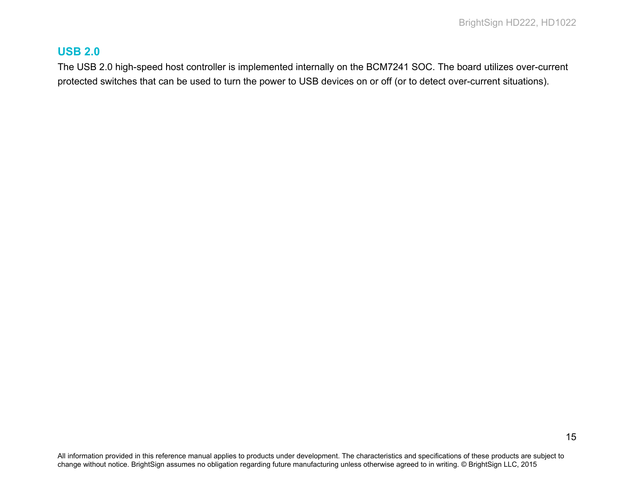## <span id="page-17-0"></span>**USB 2.0**

The USB 2.0 high-speed host controller is implemented internally on the BCM7241 SOC. The board utilizes over-current protected switches that can be used to turn the power to USB devices on or off (or to detect over-current situations).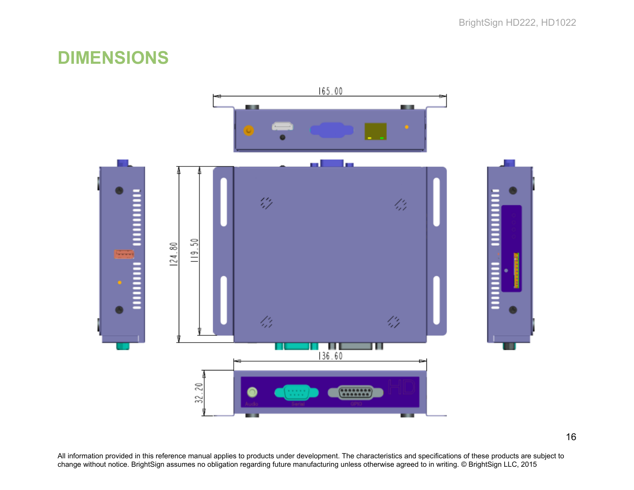# <span id="page-18-0"></span>**DIMENSIONS**